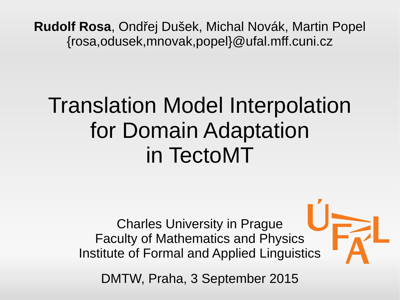**Rudolf Rosa**, Ondřej Dušek, Michal Novák, Martin Popel {rosa,odusek,mnovak,popel}@ufal.mff.cuni.cz

#### Translation Model Interpolation for Domain Adaptation in TectoMT

Charles University in Prague Faculty of Mathematics and Physics Institute of Formal and Applied Linguistics

DMTW, Praha, 3 September 2015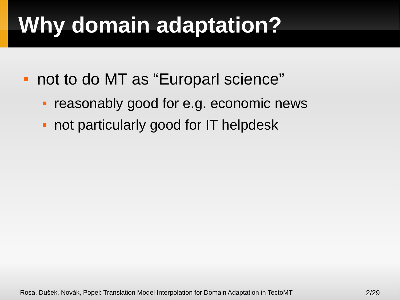## **Why domain adaptation?**

- not to do MT as "Europarl science"
	- reasonably good for e.g. economic news
	- not particularly good for IT helpdesk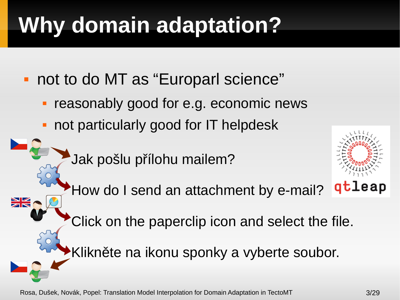# **Why domain adaptation?**

- not to do MT as "Europarl science"
	- reasonably good for e.g. economic news
	- not particularly good for IT helpdesk
		- Jak pošlu přílohu mailem?

**NK** 

How do I send an attachment by e-mail?



- Click on the paperclip icon and select the file.
- Klikněte na ikonu sponky a vyberte soubor.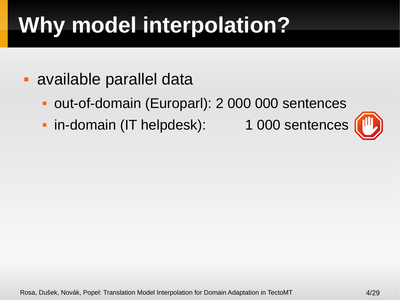- available parallel data
	- out-of-domain (Europarl): 2 000 000 sentences
	- In-domain (IT helpdesk): 1 000 sentences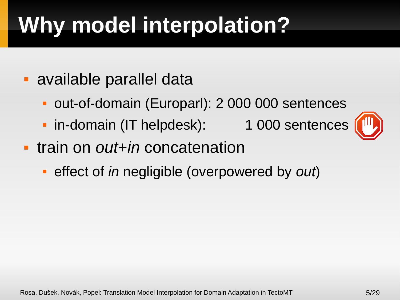- available parallel data
	- out-of-domain (Europarl): 2 000 000 sentences
	- In-domain (IT helpdesk): 1 000 sentences
- train on *out*+*in* concatenation
	- effect of *in* negligible (overpowered by *out*)

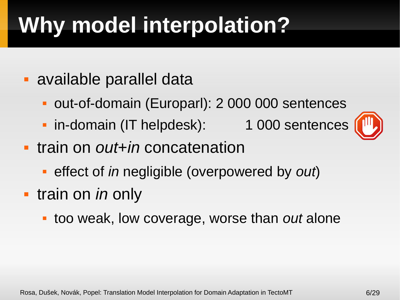- available parallel data
	- out-of-domain (Europarl): 2 000 000 sentences
	- In-domain (IT helpdesk): 1 000 sentences
- train on *out*+*in* concatenation
	- effect of *in* negligible (overpowered by *out*)
- **train on** *in* **only** 
	- too weak, low coverage, worse than *out* alone

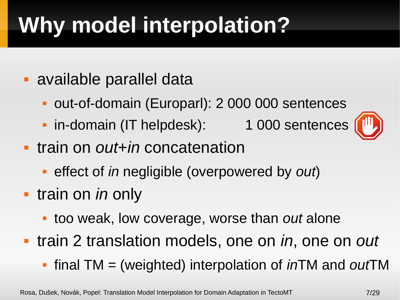- available parallel data
	- out-of-domain (Europarl): 2 000 000 sentences
	- In-domain (IT helpdesk): 1 000 sentences





- train on *out*+*in* concatenation
	- effect of *in* negligible (overpowered by *out*)
- **train on** *in* **only** 
	- too weak, low coverage, worse than *out* alone
- train 2 translation models, one on *in*, one on *out*
	- final TM = (weighted) interpolation of *in*TM and *out*TM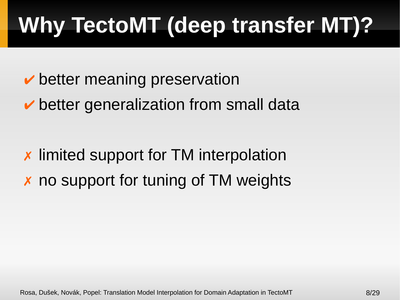# **Why TectoMT (deep transfer MT)?**

- $\vee$  better meaning preservation
- $\triangleright$  better generalization from small data

✗ limited support for TM interpolation ✗ no support for tuning of TM weights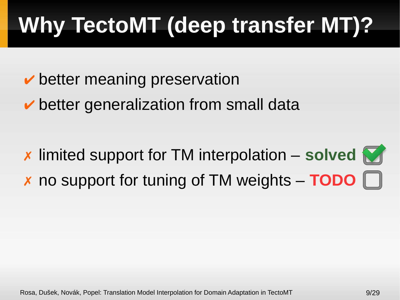# **Why TectoMT (deep transfer MT)?**

- $\vee$  better meaning preservation
- $\triangleright$  better generalization from small data
- ✗ limited support for TM interpolation **solved** ✗ no support for tuning of TM weights – **TODO**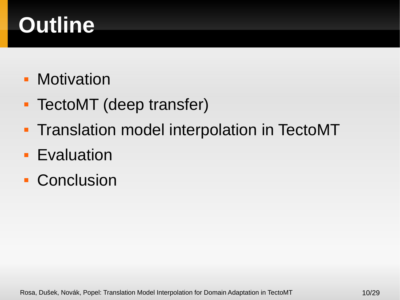## **Outline**

- **Motivation**
- **TectoMT** (deep transfer)
- **Translation model interpolation in TectoMT**
- **Evaluation**
- **Conclusion**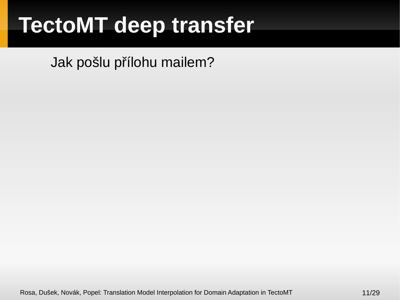Jak pošlu přílohu mailem?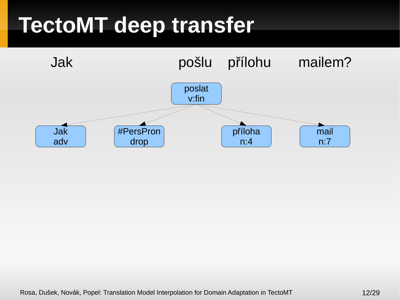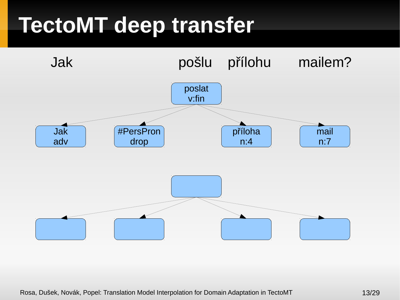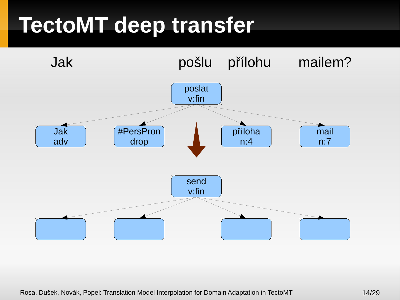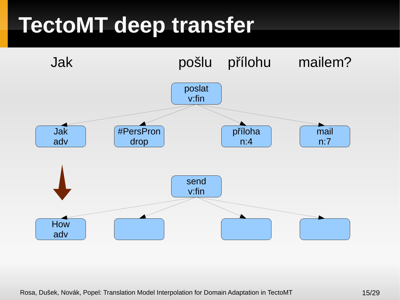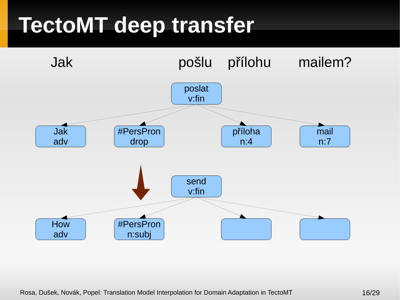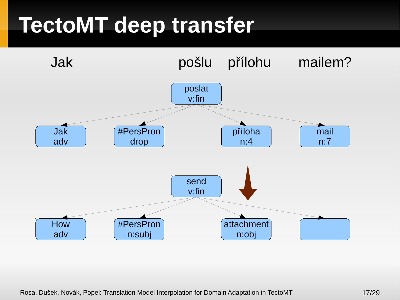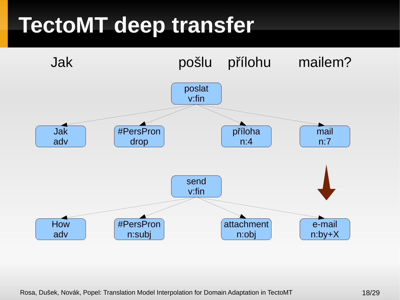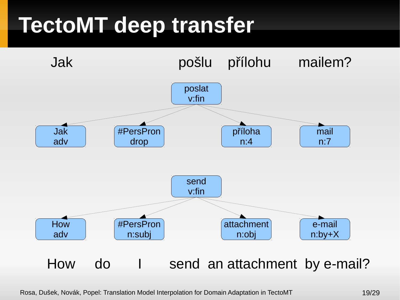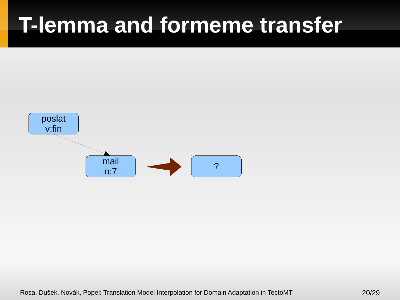#### **T-lemma and formeme transfer**

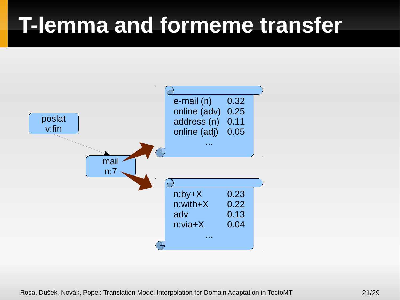#### **T-lemma and formeme transfer**

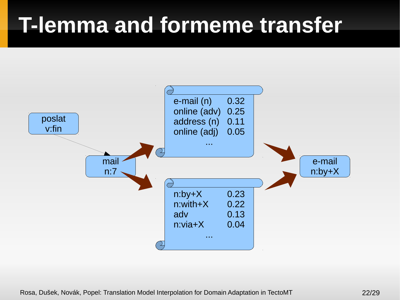#### **T-lemma and formeme transfer**

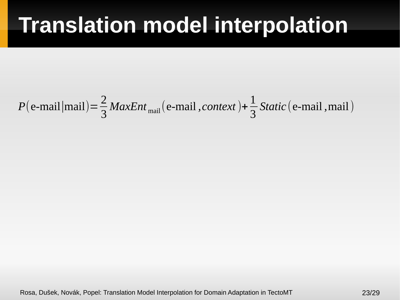$$
P(\text{e-mail}|\text{mail}) = \frac{2}{3} \text{MaxEnt}_{\text{mail}}(\text{e-mail}, \text{context}) + \frac{1}{3} \text{Static}(\text{e-mail}, \text{mail})
$$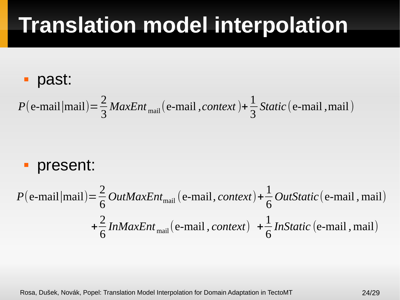#### past:

$$
P(\text{e-mail}|\text{mail}) = \frac{2}{3} \text{MaxEnt}_{\text{mail}}(\text{e-mail}, \text{context}) + \frac{1}{3} \text{Static}(\text{e-mail}, \text{mail})
$$

#### **- present:**

$$
P(\text{e-mail}|\text{mail}) = \frac{2}{6} \text{OutMaxEnt}_{\text{mail}}(\text{e-mail}, \text{context}) + \frac{1}{6} \text{OutStatic}(\text{e-mail}, \text{mail})
$$

$$
+ \frac{2}{6} \text{InMaxEnt}_{\text{mail}}(\text{e-mail}, \text{context}) + \frac{1}{6} \text{InStatic}(\text{e-mail}, \text{mail})
$$

Rosa, Dušek, Novák, Popel: Translation Model Interpolation for Domain Adaptation in TectoMT 24/29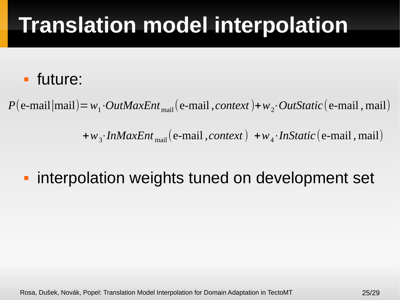#### future:

 $P(e-mail|mail)=w_1·OutMaxEnt_{mail}(e-mail, context)+w_2·OutStatic(e-mail, mail)$ 

+*w*3⋅*InMaxEnt* mail(e-mail *,context*) +*w*4⋅*InStatic*(e-mail *,* mail)

#### **· interpolation weights tuned on development set**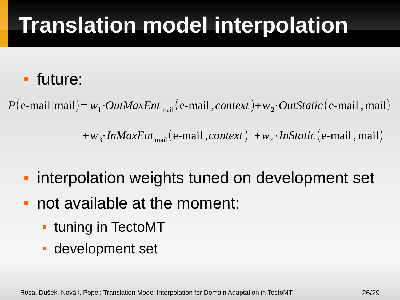#### future:

 $P(e-mail|mail)=w_1·OutMaxEnt_{mail}(e-mail, context)+w_2·OutStatic(e-mail, mail)$ 

+*w*3⋅*InMaxEnt* mail(e-mail *,context*) +*w*4⋅*InStatic*(e-mail *,* mail)

- **· interpolation weights tuned on development set**
- not available at the moment:
	- **tuning in TectoMT**
	- development set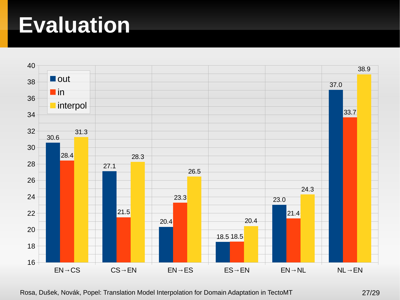#### **Evaluation**



Rosa, Dušek, Novák, Popel: Translation Model Interpolation for Domain Adaptation in TectoMT 27/29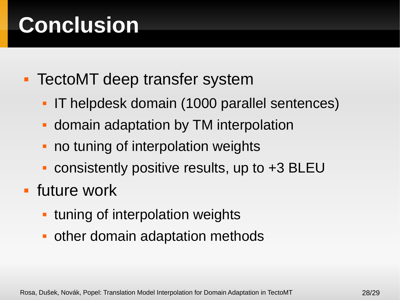## **Conclusion**

- **TectoMT deep transfer system** 
	- IT helpdesk domain (1000 parallel sentences)
	- **domain adaptation by TM interpolation**
	- no tuning of interpolation weights
	- consistently positive results, up to +3 BLEU
- future work
	- E tuning of interpolation weights
	- other domain adaptation methods